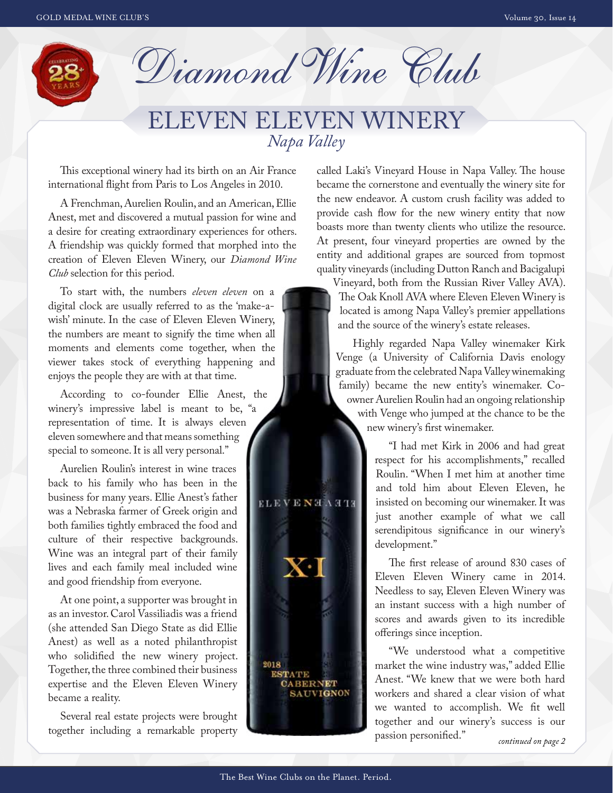

Diamond Wine Club

# ELEVEN ELEVEN WINERY *Napa Valley*

This exceptional winery had its birth on an Air France international flight from Paris to Los Angeles in 2010.

A Frenchman, Aurelien Roulin, and an American, Ellie Anest, met and discovered a mutual passion for wine and a desire for creating extraordinary experiences for others. A friendship was quickly formed that morphed into the creation of Eleven Eleven Winery, our *Diamond Wine Club* selection for this period.

To start with, the numbers *eleven eleven* on a digital clock are usually referred to as the 'make-awish' minute. In the case of Eleven Eleven Winery, the numbers are meant to signify the time when all moments and elements come together, when the viewer takes stock of everything happening and enjoys the people they are with at that time.

According to co-founder Ellie Anest, the winery's impressive label is meant to be, "a representation of time. It is always eleven eleven somewhere and that means something special to someone. It is all very personal."

Aurelien Roulin's interest in wine traces back to his family who has been in the business for many years. Ellie Anest's father was a Nebraska farmer of Greek origin and both families tightly embraced the food and culture of their respective backgrounds. Wine was an integral part of their family lives and each family meal included wine and good friendship from everyone.

At one point, a supporter was brought in as an investor. Carol Vassiliadis was a friend (she attended San Diego State as did Ellie Anest) as well as a noted philanthropist who solidified the new winery project. Together, the three combined their business expertise and the Eleven Eleven Winery became a reality.

Several real estate projects were brought together including a remarkable property called Laki's Vineyard House in Napa Valley. The house became the cornerstone and eventually the winery site for the new endeavor. A custom crush facility was added to provide cash flow for the new winery entity that now boasts more than twenty clients who utilize the resource. At present, four vineyard properties are owned by the entity and additional grapes are sourced from topmost quality vineyards (including Dutton Ranch and Bacigalupi

Vineyard, both from the Russian River Valley AVA). The Oak Knoll AVA where Eleven Eleven Winery is located is among Napa Valley's premier appellations and the source of the winery's estate releases.

Highly regarded Napa Valley winemaker Kirk Venge (a University of California Davis enology graduate from the celebrated Napa Valley winemaking family) became the new entity's winemaker. Coowner Aurelien Roulin had an ongoing relationship with Venge who jumped at the chance to be the new winery's first winemaker.

> "I had met Kirk in 2006 and had great respect for his accomplishments," recalled Roulin. "When I met him at another time and told him about Eleven Eleven, he insisted on becoming our winemaker. It was just another example of what we call serendipitous significance in our winery's development."

> The first release of around 830 cases of Eleven Eleven Winery came in 2014. Needless to say, Eleven Eleven Winery was an instant success with a high number of scores and awards given to its incredible offerings since inception.

> "We understood what a competitive market the wine industry was," added Ellie Anest. "We knew that we were both hard workers and shared a clear vision of what we wanted to accomplish. We fit well together and our winery's success is our passion personified." *continued on page 2*

2018

**ESTATE** 

**CABERNET SAUVIGNON** 

**ELEVENHAMTS**